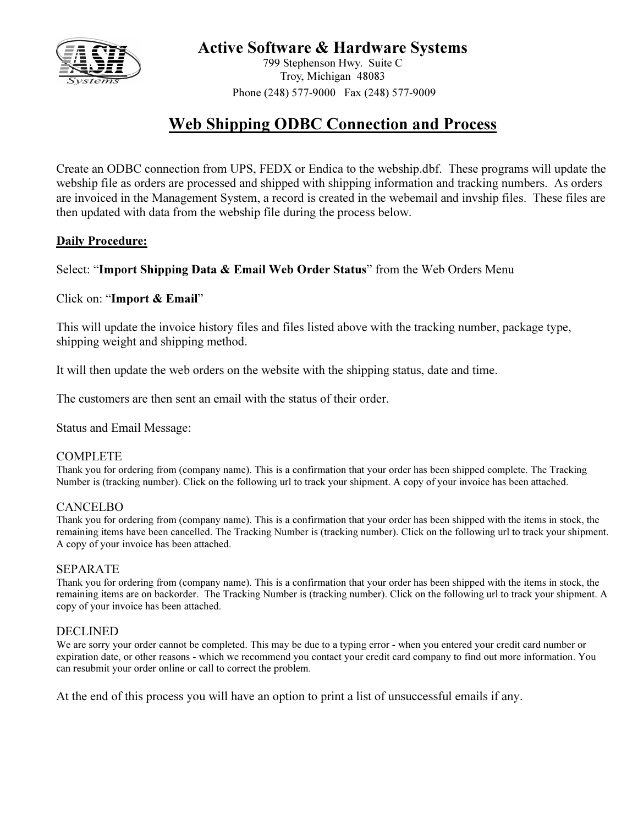

## Active Software & Hardware Systems

799 Stephenson Hwy. Suite C Troy, Michigan 48083 Phone (248) 577-9000 Fax (248) 577-9009

# Web Shipping ODBC Connection and Process

Create an ODBC connection from UPS, FEDX or Endica to the webship.dbf. These programs will update the webship file as orders are processed and shipped with shipping information and tracking numbers. As orders are invoiced in the Management System, a record is created in the webemail and invship files. These files are then updated with data from the webship file during the process below.

## Daily Procedure:

## Select: "Import Shipping Data & Email Web Order Status" from the Web Orders Menu

## Click on: "Import & Email"

This will update the invoice history files and files listed above with the tracking number, package type, shipping weight and shipping method.

It will then update the web orders on the website with the shipping status, date and time.

The customers are then sent an email with the status of their order.

Status and Email Message:

## COMPLETE

Thank you for ordering from (company name). This is a confirmation that your order has been shipped complete. The Tracking Number is (tracking number). Click on the following url to track your shipment. A copy of your invoice has been attached.

## CANCELBO

Thank you for ordering from (company name). This is a confirmation that your order has been shipped with the items in stock, the remaining items have been cancelled. The Tracking Number is (tracking number). Click on the following url to track your shipment. A copy of your invoice has been attached.

## SEPARATE

Thank you for ordering from (company name). This is a confirmation that your order has been shipped with the items in stock, the remaining items are on backorder. The Tracking Number is (tracking number). Click on the following url to track your shipment. A copy of your invoice has been attached.

## DECLINED

We are sorry your order cannot be completed. This may be due to a typing error - when you entered your credit card number or expiration date, or other reasons - which we recommend you contact your credit card company to find out more information. You can resubmit your order online or call to correct the problem.

At the end of this process you will have an option to print a list of unsuccessful emails if any.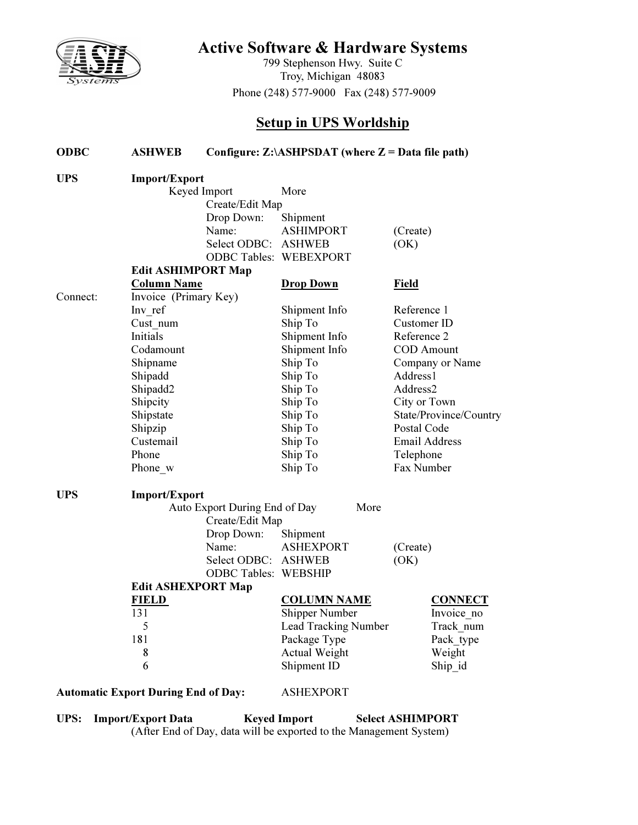

# Active Software & Hardware Systems

799 Stephenson Hwy. Suite C Troy, Michigan 48083 Phone (248) 577-9000 Fax (248) 577-9009

## Setup in UPS Worldship

| <b>ODBC</b> | <b>ASHWEB</b>                              | Configure: $Z:\A\text{SHPSDATA}$ (where $Z = Data$ file path) |                               |                        |  |  |  |  |  |  |  |  |
|-------------|--------------------------------------------|---------------------------------------------------------------|-------------------------------|------------------------|--|--|--|--|--|--|--|--|
| <b>UPS</b>  | <b>Import/Export</b>                       |                                                               |                               |                        |  |  |  |  |  |  |  |  |
|             |                                            | Keyed Import                                                  | More                          |                        |  |  |  |  |  |  |  |  |
|             | Create/Edit Map                            |                                                               |                               |                        |  |  |  |  |  |  |  |  |
|             |                                            | Drop Down:                                                    | Shipment                      |                        |  |  |  |  |  |  |  |  |
|             |                                            | Name:                                                         | <b>ASHIMPORT</b>              | (Create)               |  |  |  |  |  |  |  |  |
|             |                                            | Select ODBC:                                                  | <b>ASHWEB</b>                 | (OK)                   |  |  |  |  |  |  |  |  |
|             |                                            |                                                               | <b>ODBC Tables: WEBEXPORT</b> |                        |  |  |  |  |  |  |  |  |
|             | <b>Edit ASHIMPORT Map</b>                  |                                                               |                               |                        |  |  |  |  |  |  |  |  |
|             | <b>Column Name</b>                         |                                                               | <b>Drop Down</b>              | <b>Field</b>           |  |  |  |  |  |  |  |  |
| Connect:    | Invoice (Primary Key)                      |                                                               |                               |                        |  |  |  |  |  |  |  |  |
|             | Inv ref                                    |                                                               | Shipment Info                 | Reference 1            |  |  |  |  |  |  |  |  |
|             | Cust num                                   |                                                               | Ship To                       | Customer ID            |  |  |  |  |  |  |  |  |
|             | Initials                                   |                                                               | Shipment Info                 | Reference 2            |  |  |  |  |  |  |  |  |
|             | Codamount                                  |                                                               | Shipment Info                 | <b>COD</b> Amount      |  |  |  |  |  |  |  |  |
|             | Shipname                                   |                                                               | Ship To                       | Company or Name        |  |  |  |  |  |  |  |  |
|             | Shipadd                                    |                                                               | Ship To                       | Address1               |  |  |  |  |  |  |  |  |
|             | Shipadd2                                   |                                                               | Ship To                       | Address2               |  |  |  |  |  |  |  |  |
|             | Shipcity                                   |                                                               | Ship To                       | City or Town           |  |  |  |  |  |  |  |  |
|             | Shipstate                                  |                                                               | Ship To                       | State/Province/Country |  |  |  |  |  |  |  |  |
|             | Shipzip                                    |                                                               | Ship To                       | Postal Code            |  |  |  |  |  |  |  |  |
|             | Custemail                                  |                                                               | Ship To                       | <b>Email Address</b>   |  |  |  |  |  |  |  |  |
|             | Phone                                      |                                                               | Ship To                       | Telephone              |  |  |  |  |  |  |  |  |
|             | Phone w                                    |                                                               | Ship To                       | Fax Number             |  |  |  |  |  |  |  |  |
| <b>UPS</b>  | <b>Import/Export</b>                       |                                                               |                               |                        |  |  |  |  |  |  |  |  |
|             |                                            | Auto Export During End of Day                                 | More                          |                        |  |  |  |  |  |  |  |  |
|             |                                            | Create/Edit Map                                               |                               |                        |  |  |  |  |  |  |  |  |
|             |                                            | Drop Down:                                                    | Shipment                      |                        |  |  |  |  |  |  |  |  |
|             |                                            | Name:                                                         | <b>ASHEXPORT</b>              | (Create)               |  |  |  |  |  |  |  |  |
|             |                                            | Select ODBC: ASHWEB                                           |                               | (OK)                   |  |  |  |  |  |  |  |  |
|             |                                            | <b>ODBC Tables: WEBSHIP</b>                                   |                               |                        |  |  |  |  |  |  |  |  |
|             | <b>Edit ASHEXPORT Map</b>                  |                                                               |                               |                        |  |  |  |  |  |  |  |  |
|             | FIELD                                      |                                                               | <b>COLUMN NAME</b>            | <b>CONNECT</b>         |  |  |  |  |  |  |  |  |
|             | 131                                        |                                                               | <b>Shipper Number</b>         | Invoice_no             |  |  |  |  |  |  |  |  |
|             | 5                                          |                                                               | <b>Lead Tracking Number</b>   | Track num              |  |  |  |  |  |  |  |  |
|             | 181                                        |                                                               | Package Type                  | Pack type              |  |  |  |  |  |  |  |  |
|             | 8                                          |                                                               | <b>Actual Weight</b>          | Weight                 |  |  |  |  |  |  |  |  |
|             | 6                                          |                                                               | Shipment ID                   | Ship_id                |  |  |  |  |  |  |  |  |
|             | <b>Automatic Export During End of Day:</b> |                                                               | <b>ASHEXPORT</b>              |                        |  |  |  |  |  |  |  |  |

UPS: Import/Export Data Keyed Import Select ASHIMPORT (After End of Day, data will be exported to the Management System)